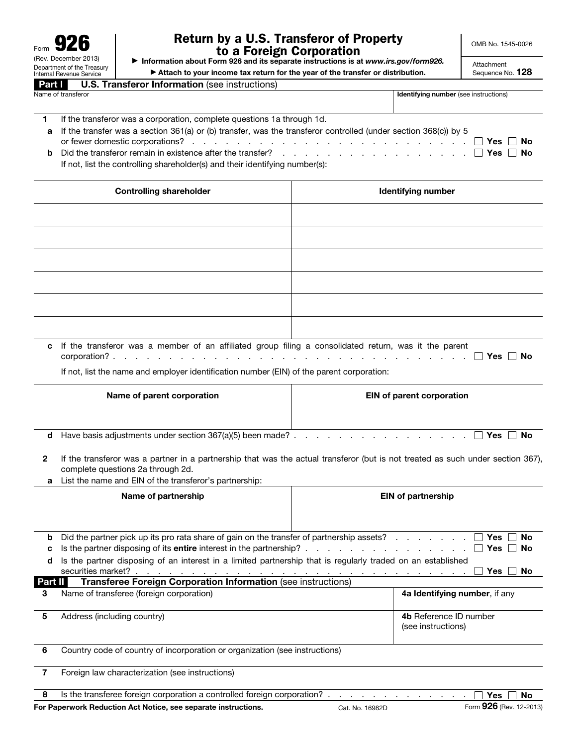| 92<br>Form           |                                                        |
|----------------------|--------------------------------------------------------|
| (Rev. December 2013) |                                                        |
|                      | Department of the Treasury<br>Internal Revenue Service |
| Part I               | U.S. Tra                                               |

## Return by a U.S. Transferor of Property to a Foreign Corporation ▶ Information about Form 926 and its separate instructions is at *www.irs.gov/form926.*

OMB No. 1545-0026

▶ Attach to your income tax return for the year of the transfer or distribution.

Attachment Sequence No. 128

| <b>. Transferor Information</b> (see instructions) |  |
|----------------------------------------------------|--|
|                                                    |  |

Name of transferor **Internal and Table 2018** and Table 2019 **Identifying number (see instructions)** 

| If the transferor was a corporation, complete questions 1a through 1d.                                                                         |
|------------------------------------------------------------------------------------------------------------------------------------------------|
| a If the transfer was a section 361(a) or (b) transfer, was the transferor controlled (under section 368(c)) by 5                              |
|                                                                                                                                                |
| <b>b</b> Did the transferor remain in existence after the transfer? $\ldots$ $\ldots$ $\ldots$ $\ldots$ $\ldots$ $\ldots$ $\Box$ Yes $\Box$ No |
| If not, list the controlling shareholder(s) and their identifying number(s):                                                                   |

| <b>Controlling shareholder</b>                                                                          | Identifying number |
|---------------------------------------------------------------------------------------------------------|--------------------|
|                                                                                                         |                    |
|                                                                                                         |                    |
|                                                                                                         |                    |
|                                                                                                         |                    |
|                                                                                                         |                    |
|                                                                                                         |                    |
| c If the transferor was a member of an affiliated group filing a consolidated return, was it the parent |                    |

| a in the transicion was a momber or an animated group ming a consolidated retain, was it the parent |  |   |  |  |  |  |  |  |  |  |  |  |       |    |
|-----------------------------------------------------------------------------------------------------|--|---|--|--|--|--|--|--|--|--|--|--|-------|----|
| corporation'                                                                                        |  | . |  |  |  |  |  |  |  |  |  |  | □ Yes | No |

If not, list the name and employer identification number (EIN) of the parent corporation:

|                | Name of parent corporation                                                                                  | EIN of parent corporation                                                                                                                                                                                                                                 |
|----------------|-------------------------------------------------------------------------------------------------------------|-----------------------------------------------------------------------------------------------------------------------------------------------------------------------------------------------------------------------------------------------------------|
| d              | Have basis adjustments under section 367(a)(5) been made? .                                                 | <b>Yes</b><br><b>No</b><br>and the second control of the second control of the second control of the second control of the second control of the second control of the second control of the second control of the second control of the second control o |
| 2<br>a         | complete questions 2a through 2d.<br>List the name and EIN of the transferor's partnership:                 | If the transferor was a partner in a partnership that was the actual transferor (but is not treated as such under section 367),                                                                                                                           |
|                | Name of partnership                                                                                         | <b>EIN of partnership</b>                                                                                                                                                                                                                                 |
| b<br>c         | Did the partner pick up its pro rata share of gain on the transfer of partnership assets?                   | <b>Yes</b><br><b>No</b><br><b>Yes</b><br>No                                                                                                                                                                                                               |
| d              | Is the partner disposing of an interest in a limited partnership that is regularly traded on an established | <b>Yes</b><br><b>No</b>                                                                                                                                                                                                                                   |
| Part II        | Transferee Foreign Corporation Information (see instructions)                                               |                                                                                                                                                                                                                                                           |
| 3              | Name of transferee (foreign corporation)                                                                    | 4a Identifying number, if any                                                                                                                                                                                                                             |
| 5              | Address (including country)                                                                                 | 4b Reference ID number<br>(see instructions)                                                                                                                                                                                                              |
| 6              | Country code of country of incorporation or organization (see instructions)                                 |                                                                                                                                                                                                                                                           |
| $\overline{7}$ | Foreign law characterization (see instructions)                                                             |                                                                                                                                                                                                                                                           |
| 8              | Is the transferee foreign corporation a controlled foreign corporation?.                                    | <b>Yes</b><br><b>No</b>                                                                                                                                                                                                                                   |
|                | For Paperwork Reduction Act Notice, see separate instructions.                                              | Form 926 (Rev. 12-2013)<br>Cat. No. 16982D                                                                                                                                                                                                                |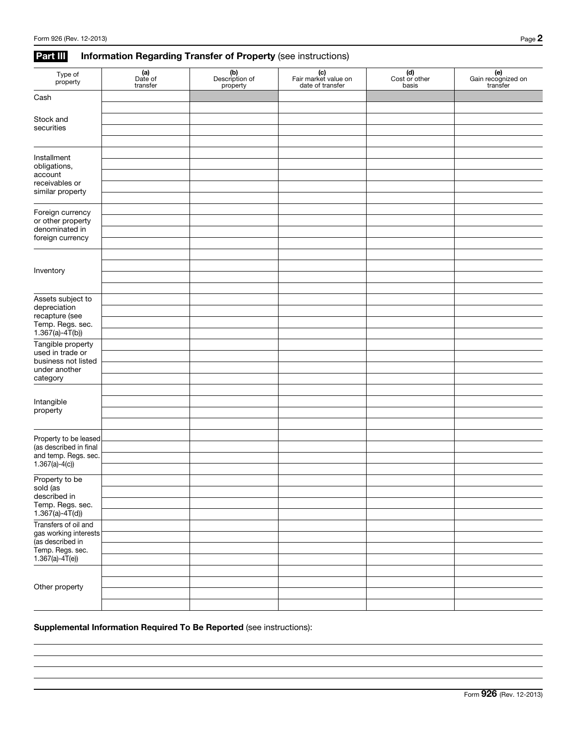## Part III Information Regarding Transfer of Property (see instructions)

| Type of<br>property                       | $(a)$<br>Date of<br>transfer | (b)<br>Description of<br>property | (c)<br>Fair market value on<br>date of transfer | (d)<br>Cost or other<br>basis | (e)<br>Gain recognized on<br>transfer |
|-------------------------------------------|------------------------------|-----------------------------------|-------------------------------------------------|-------------------------------|---------------------------------------|
| Cash                                      |                              |                                   |                                                 |                               |                                       |
| Stock and                                 |                              |                                   |                                                 |                               |                                       |
| securities                                |                              |                                   |                                                 |                               |                                       |
|                                           |                              |                                   |                                                 |                               |                                       |
| Installment                               |                              |                                   |                                                 |                               |                                       |
| obligations,<br>account                   |                              |                                   |                                                 |                               |                                       |
| receivables or                            |                              |                                   |                                                 |                               |                                       |
| similar property                          |                              |                                   |                                                 |                               |                                       |
| Foreign currency                          |                              |                                   |                                                 |                               |                                       |
| or other property                         |                              |                                   |                                                 |                               |                                       |
| denominated in<br>foreign currency        |                              |                                   |                                                 |                               |                                       |
|                                           |                              |                                   |                                                 |                               |                                       |
|                                           |                              |                                   |                                                 |                               |                                       |
| Inventory                                 |                              |                                   |                                                 |                               |                                       |
|                                           |                              |                                   |                                                 |                               |                                       |
| Assets subject to<br>depreciation         |                              |                                   |                                                 |                               |                                       |
| recapture (see                            |                              |                                   |                                                 |                               |                                       |
| Temp. Regs. sec.<br>$1.367(a) - 4T(b)$    |                              |                                   |                                                 |                               |                                       |
| Tangible property                         |                              |                                   |                                                 |                               |                                       |
| used in trade or                          |                              |                                   |                                                 |                               |                                       |
| business not listed<br>under another      |                              |                                   |                                                 |                               |                                       |
| category                                  |                              |                                   |                                                 |                               |                                       |
|                                           |                              |                                   |                                                 |                               |                                       |
| Intangible<br>property                    |                              |                                   |                                                 |                               |                                       |
|                                           |                              |                                   |                                                 |                               |                                       |
| Property to be leased                     |                              |                                   |                                                 |                               |                                       |
| (as described in final                    |                              |                                   |                                                 |                               |                                       |
| and temp. Regs. sec.<br>$1.367(a)-4(c)$   |                              |                                   |                                                 |                               |                                       |
|                                           |                              |                                   |                                                 |                               |                                       |
| Property to be<br>sold (as                |                              |                                   |                                                 |                               |                                       |
| described in                              |                              |                                   |                                                 |                               |                                       |
| Temp. Regs. sec.<br>$1.367(a) - 4T(d)$    |                              |                                   |                                                 |                               |                                       |
| Transfers of oil and                      |                              |                                   |                                                 |                               |                                       |
| gas working interests<br>(as described in |                              |                                   |                                                 |                               |                                       |
| Temp. Regs. sec.                          |                              |                                   |                                                 |                               |                                       |
| $1.367(a) - 4T(e)$                        |                              |                                   |                                                 |                               |                                       |
|                                           |                              |                                   |                                                 |                               |                                       |
| Other property                            |                              |                                   |                                                 |                               |                                       |
|                                           |                              |                                   |                                                 |                               |                                       |

## Supplemental Information Required To Be Reported (see instructions):